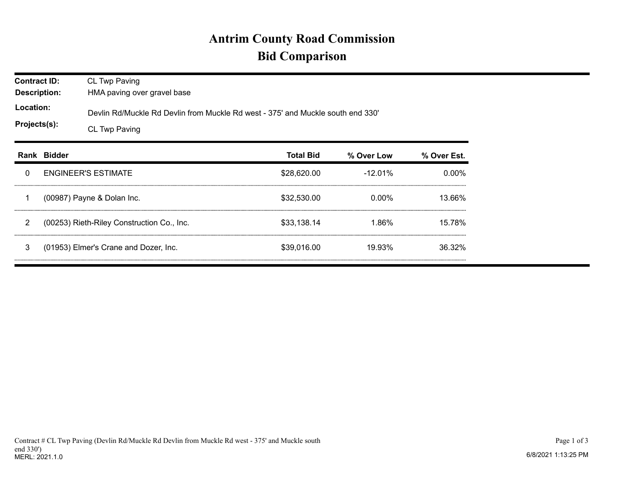## **Antrim County Road Commission Bid Comparison**

| <b>Contract ID:</b><br><b>Description:</b><br>Location:<br>Projects(s): |  | CL Twp Paving<br>HMA paving over gravel base<br>Devlin Rd/Muckle Rd Devlin from Muckle Rd west - 375' and Muckle south end 330'<br>CL Twp Paving |             |            |          |  |  |  |  |
|-------------------------------------------------------------------------|--|--------------------------------------------------------------------------------------------------------------------------------------------------|-------------|------------|----------|--|--|--|--|
|                                                                         |  |                                                                                                                                                  |             |            |          |  |  |  |  |
| 0                                                                       |  | <b>ENGINEER'S ESTIMATE</b>                                                                                                                       | \$28,620.00 | $-12.01\%$ | $0.00\%$ |  |  |  |  |
|                                                                         |  | (00987) Payne & Dolan Inc.                                                                                                                       | \$32,530.00 | 0.00%      | 13.66%   |  |  |  |  |
| 2                                                                       |  | (00253) Rieth-Riley Construction Co., Inc.                                                                                                       | \$33.138.14 | 1.86%      | 15.78%   |  |  |  |  |
| 3                                                                       |  | (01953) Elmer's Crane and Dozer, Inc.                                                                                                            | \$39,016.00 | 19.93%     | 36.32%   |  |  |  |  |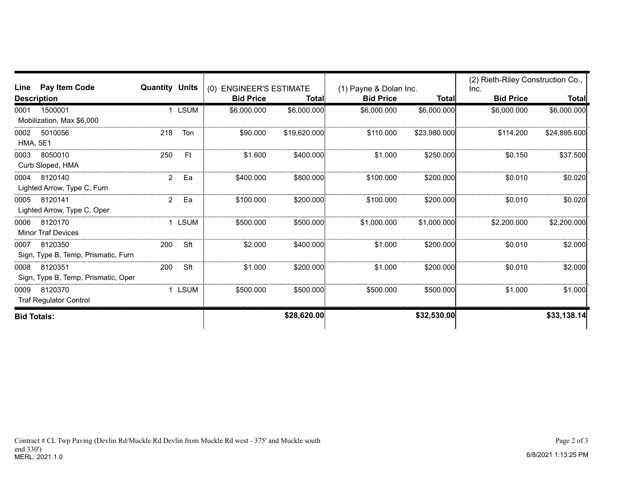| <b>Pay Item Code</b><br>Line                           | <b>Quantity Units</b> |           |                                             |              |                                            |              | (2) Rieth-Riley Construction Co., |              |
|--------------------------------------------------------|-----------------------|-----------|---------------------------------------------|--------------|--------------------------------------------|--------------|-----------------------------------|--------------|
| <b>Description</b>                                     |                       |           | (0) ENGINEER'S ESTIMATE<br><b>Bid Price</b> | <b>Total</b> | (1) Payne & Dolan Inc.<br><b>Bid Price</b> | <b>Total</b> | Inc.<br><b>Bid Price</b>          | <b>Total</b> |
| 1500001<br>0001<br>Mobilization, Max \$6,000           |                       | LSUM      | \$6,000.000                                 | \$6,000.000  | \$6,000.000                                | \$6,000.000  | \$6,000.000                       | \$6,000.000  |
| 5010056<br>0002<br><b>HMA, 5E1</b>                     | 218                   | Ton       | \$90.000                                    | \$19,620.000 | \$110,000                                  | \$23,980.000 | \$114,200                         | \$24,895.600 |
| 8050010<br>0003<br>Curb Sloped, HMA                    | 250                   | <b>Ft</b> | \$1,600                                     | \$400.000    | \$1,000                                    | \$250.000    | \$0.150                           | \$37.500     |
| 8120140<br>0004<br>Lighted Arrow, Type C, Furn         | 2                     | Ea        | \$400,000                                   | \$800,000    | \$100,000                                  | \$200,000    | \$0.010                           | \$0.020      |
| 8120141<br>0005<br>Lighted Arrow, Type C, Oper         | 2                     | Ea        | \$100,000                                   | \$200,000    | \$100,000                                  | \$200,000    | \$0.010                           | \$0.020      |
| 0006<br>8120170<br><b>Minor Traf Devices</b>           |                       | 1 LSUM    | \$500,000                                   | \$500,000    | \$1,000,000                                | \$1,000,000  | \$2,200.000                       | \$2,200.000  |
| 8120350<br>0007<br>Sign, Type B, Temp, Prismatic, Furn | 200                   | Sft       | \$2,000                                     | \$400,000    | \$1.000                                    | \$200,000    | \$0.010                           | \$2.000      |
| 8120351<br>0008<br>Sign, Type B, Temp, Prismatic, Oper | 200                   | Sft       | \$1.000                                     | \$200.000    | \$1,000                                    | \$200.000    | \$0.010                           | \$2.000      |
| 8120370<br>0009<br><b>Traf Regulator Control</b>       |                       | LSUM      | \$500.000                                   | \$500.000    | \$500,000                                  | \$500,000    | \$1,000                           | \$1.000      |
| <b>Bid Totals:</b>                                     |                       |           |                                             | \$28,620.00  |                                            | \$32,530.00  |                                   | \$33,138.14  |